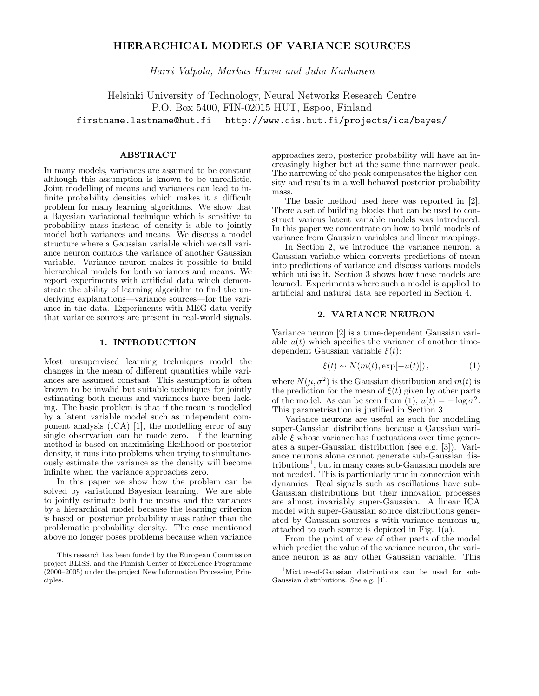# HIERARCHICAL MODELS OF VARIANCE SOURCES

Harri Valpola, Markus Harva and Juha Karhunen

Helsinki University of Technology, Neural Networks Research Centre P.O. Box 5400, FIN-02015 HUT, Espoo, Finland firstname.lastname@hut.fi http://www.cis.hut.fi/projects/ica/bayes/

# ABSTRACT

In many models, variances are assumed to be constant although this assumption is known to be unrealistic. Joint modelling of means and variances can lead to infinite probability densities which makes it a difficult problem for many learning algorithms. We show that a Bayesian variational technique which is sensitive to probability mass instead of density is able to jointly model both variances and means. We discuss a model structure where a Gaussian variable which we call variance neuron controls the variance of another Gaussian variable. Variance neuron makes it possible to build hierarchical models for both variances and means. We report experiments with artificial data which demonstrate the ability of learning algorithm to find the underlying explanations—variance sources—for the variance in the data. Experiments with MEG data verify that variance sources are present in real-world signals.

# 1. INTRODUCTION

Most unsupervised learning techniques model the changes in the mean of different quantities while variances are assumed constant. This assumption is often known to be invalid but suitable techniques for jointly estimating both means and variances have been lacking. The basic problem is that if the mean is modelled by a latent variable model such as independent component analysis (ICA) [1], the modelling error of any single observation can be made zero. If the learning method is based on maximising likelihood or posterior density, it runs into problems when trying to simultaneously estimate the variance as the density will become infinite when the variance approaches zero.

In this paper we show how the problem can be solved by variational Bayesian learning. We are able to jointly estimate both the means and the variances by a hierarchical model because the learning criterion is based on posterior probability mass rather than the problematic probability density. The case mentioned above no longer poses problems because when variance approaches zero, posterior probability will have an increasingly higher but at the same time narrower peak. The narrowing of the peak compensates the higher density and results in a well behaved posterior probability mass.

The basic method used here was reported in [2]. There a set of building blocks that can be used to construct various latent variable models was introduced. In this paper we concentrate on how to build models of variance from Gaussian variables and linear mappings.

In Section 2, we introduce the variance neuron, a Gaussian variable which converts predictions of mean into predictions of variance and discuss various models which utilise it. Section 3 shows how these models are learned. Experiments where such a model is applied to artificial and natural data are reported in Section 4.

# 2. VARIANCE NEURON

Variance neuron [2] is a time-dependent Gaussian variable  $u(t)$  which specifies the variance of another timedependent Gaussian variable  $\xi(t)$ :

$$
\xi(t) \sim N(m(t), \exp[-u(t)]), \qquad (1)
$$

where  $N(\mu, \sigma^2)$  is the Gaussian distribution and  $m(t)$  is the prediction for the mean of  $\xi(t)$  given by other parts of the model. As can be seen from (1),  $u(t) = -\log \sigma^2$ . This parametrisation is justified in Section 3.

Variance neurons are useful as such for modelling super-Gaussian distributions because a Gaussian variable  $\xi$  whose variance has fluctuations over time generates a super-Gaussian distribution (see e.g. [3]). Variance neurons alone cannot generate sub-Gaussian distributions<sup>1</sup> , but in many cases sub-Gaussian models are not needed. This is particularly true in connection with dynamics. Real signals such as oscillations have sub-Gaussian distributions but their innovation processes are almost invariably super-Gaussian. A linear ICA model with super-Gaussian source distributions generated by Gaussian sources **s** with variance neurons  $\mathbf{u}_s$ attached to each source is depicted in Fig. 1(a).

From the point of view of other parts of the model which predict the value of the variance neuron, the variance neuron is as any other Gaussian variable. This

This research has been funded by the European Commission project BLISS, and the Finnish Center of Excellence Programme (2000–2005) under the project New Information Processing Principles.

<sup>1</sup>Mixture-of-Gaussian distributions can be used for sub-Gaussian distributions. See e.g. [4].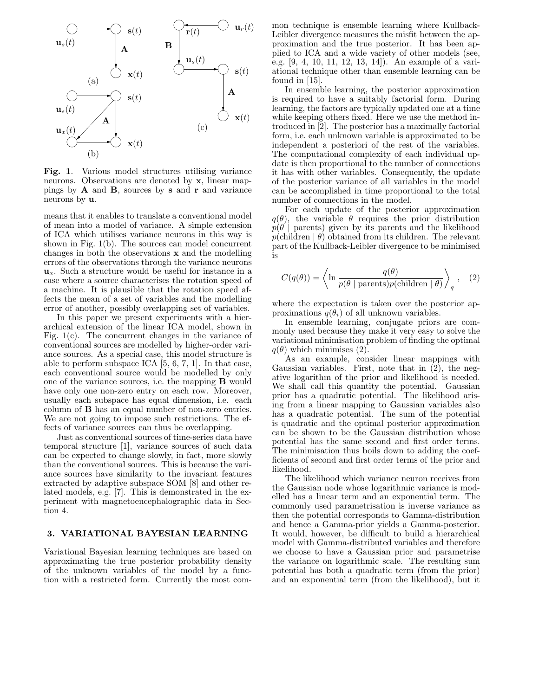

Fig. 1. Various model structures utilising variance neurons. Observations are denoted by **x**, linear mappings by  $A$  and  $B$ , sources by  $s$  and  $r$  and variance neurons by u.

means that it enables to translate a conventional model of mean into a model of variance. A simple extension of ICA which utilises variance neurons in this way is shown in Fig. 1(b). The sources can model concurrent changes in both the observations x and the modelling errors of the observations through the variance neurons  $\mathbf{u}_x$ . Such a structure would be useful for instance in a case where a source characterises the rotation speed of a machine. It is plausible that the rotation speed affects the mean of a set of variables and the modelling error of another, possibly overlapping set of variables.

In this paper we present experiments with a hierarchical extension of the linear ICA model, shown in Fig. 1(c). The concurrent changes in the variance of conventional sources are modelled by higher-order variance sources. As a special case, this model structure is able to perform subspace ICA [5, 6, 7, 1]. In that case, each conventional source would be modelled by only one of the variance sources, i.e. the mapping B would have only one non-zero entry on each row. Moreover, usually each subspace has equal dimension, i.e. each column of B has an equal number of non-zero entries. We are not going to impose such restrictions. The effects of variance sources can thus be overlapping.

Just as conventional sources of time-series data have temporal structure [1], variance sources of such data can be expected to change slowly, in fact, more slowly than the conventional sources. This is because the variance sources have similarity to the invariant features extracted by adaptive subspace SOM [8] and other related models, e.g. [7]. This is demonstrated in the experiment with magnetoencephalographic data in Section 4.

# 3. VARIATIONAL BAYESIAN LEARNING

Variational Bayesian learning techniques are based on approximating the true posterior probability density of the unknown variables of the model by a function with a restricted form. Currently the most common technique is ensemble learning where Kullback-Leibler divergence measures the misfit between the approximation and the true posterior. It has been applied to ICA and a wide variety of other models (see, e.g. [9, 4, 10, 11, 12, 13, 14]). An example of a variational technique other than ensemble learning can be found in [15].

In ensemble learning, the posterior approximation is required to have a suitably factorial form. During learning, the factors are typically updated one at a time while keeping others fixed. Here we use the method introduced in [2]. The posterior has a maximally factorial form, i.e. each unknown variable is approximated to be independent a posteriori of the rest of the variables. The computational complexity of each individual update is then proportional to the number of connections it has with other variables. Consequently, the update of the posterior variance of all variables in the model can be accomplished in time proportional to the total number of connections in the model.

For each update of the posterior approximation  $q(\theta)$ , the variable  $\theta$  requires the prior distribution  $p(\theta |$  parents) given by its parents and the likelihood  $p(\text{children} | \theta)$  obtained from its children. The relevant part of the Kullback-Leibler divergence to be minimised is

$$
C(q(\theta)) = \left\langle \ln \frac{q(\theta)}{p(\theta \mid \text{parents})p(\text{children} \mid \theta)} \right\rangle_q, (2)
$$

where the expectation is taken over the posterior approximations  $q(\theta_i)$  of all unknown variables.

In ensemble learning, conjugate priors are commonly used because they make it very easy to solve the variational minimisation problem of finding the optimal  $q(\theta)$  which minimises (2).

As an example, consider linear mappings with Gaussian variables. First, note that in (2), the negative logarithm of the prior and likelihood is needed. We shall call this quantity the potential. Gaussian prior has a quadratic potential. The likelihood arising from a linear mapping to Gaussian variables also has a quadratic potential. The sum of the potential is quadratic and the optimal posterior approximation can be shown to be the Gaussian distribution whose potential has the same second and first order terms. The minimisation thus boils down to adding the coefficients of second and first order terms of the prior and likelihood.

The likelihood which variance neuron receives from the Gaussian node whose logarithmic variance is modelled has a linear term and an exponential term. The commonly used parametrisation is inverse variance as then the potential corresponds to Gamma-distribution and hence a Gamma-prior yields a Gamma-posterior. It would, however, be difficult to build a hierarchical model with Gamma-distributed variables and therefore we choose to have a Gaussian prior and parametrise the variance on logarithmic scale. The resulting sum potential has both a quadratic term (from the prior) and an exponential term (from the likelihood), but it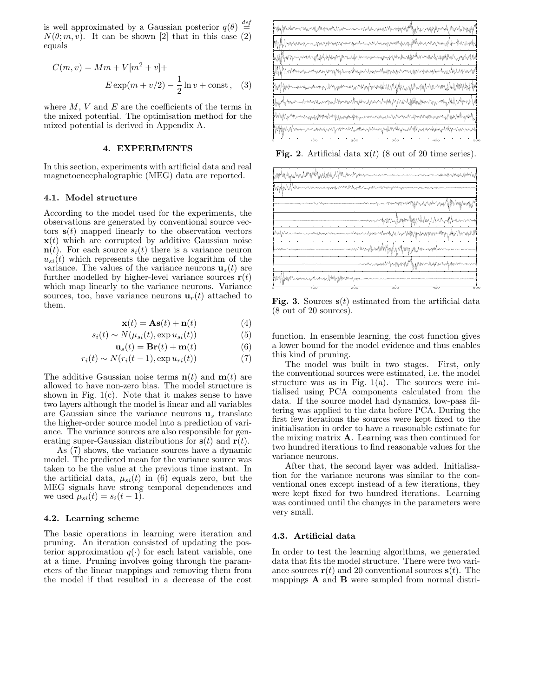is well approximated by a Gaussian posterior  $q(\theta)$ def  $\stackrel{\scriptscriptstyle i\epsilon}{=}$  $N(\theta; m, v)$ . It can be shown [2] that in this case (2) equals

$$
C(m, v) = Mm + V[m2 + v] +
$$
 PSfrag replacements  
\n
$$
E \exp(m + v/2) - \frac{1}{2} \ln v + \text{const}, \quad (3) \underset{\mathbf{u}_x(t)}{\mathbf{B}} \mathbf{B}
$$

where  $M, V$  and  $E$  are the coefficients of the terms in the mixed potential. The optimisation method for the  $\mathbf{r}(t)$ mixed potential is derived in Appendix A.  $\mathbf{u}_s(t)$  $s($ 

### 4. EXPERIMENTS

In this section, experiments with artificial data and real magnetoencephalographic (MEG) data are reported.

#### 4.1. Model structure

According to the model used for the experiments, the PSfrag replacements observations are generated by conventional source vectors  $s(t)$  mapped linearly to the observation vectors  $\mathbf{x}(t)$  which are corrupted by additive Gaussian noise  $\mathbf{u}_x(t)$  $\mathbf{n}(t)$ . For each source  $s_i(t)$  there is a variance neuron  $\mathbf{u}_r(t)$ .  $u_{si}(t)$  which represents the negative logarithm of the  $\mathbf{u}_{st}(t)$ variance. The values of the variance neurons  $\mathbf{u}_s(t)$  are  $\mathbf{r}(t)$ further modelled by higher-level variance sources  $\mathbf{r}(t) \cdot \mathbf{s}(t)$ which map linearly to the variance neurons. Variance  $\mathbf{x}(t)$ sources, too, have variance neurons  $\mathbf{u}_r(t)$  attached to them.

$$
\mathbf{x}(t) = \mathbf{A}\mathbf{s}(t) + \mathbf{n}(t) \tag{4}
$$

$$
s_i(t) \sim N(\mu_{si}(t), \exp u_{si}(t))
$$
 (5)

$$
\mathbf{u}_s(t) = \mathbf{Br}(t) + \mathbf{m}(t) \tag{6}
$$

$$
r_i(t) \sim N(r_i(t-1), \exp u_{ri}(t))
$$
\n<sup>(7)</sup>

The additive Gaussian noise terms  $\mathbf{n}(t)$  and  $\mathbf{m}(t)$  are allowed to have non-zero bias. The model structure is shown in Fig.  $1(c)$ . Note that it makes sense to have two layers although the model is linear and all variables are Gaussian since the variance neurons  $\mathbf{u}_s$  translate the higher-order source model into a prediction of variance. The variance sources are also responsible for generating super-Gaussian distributions for  $s(t)$  and  $r(t)$ .

As (7) shows, the variance sources have a dynamic model. The predicted mean for the variance source was taken to be the value at the previous time instant. In the artificial data,  $\mu_{si}(t)$  in (6) equals zero, but the MEG signals have strong temporal dependences and we used  $\mu_{si}(t) = s_i(t-1)$ .

#### 4.2. Learning scheme

The basic operations in learning were iteration and pruning. An iteration consisted of updating the posterior approximation  $q(\cdot)$  for each latent variable, one at a time. Pruning involves going through the parameters of the linear mappings and removing them from the model if that resulted in a decrease of the cost



**Fig. 2.** Artificial data  $\mathbf{x}(t)$  (8 out of 20 time series).



**Fig. 3.** Sources  $s(t)$  estimated from the artificial data (8 out of 20 sources).

function. In ensemble learning, the cost function gives a lower bound for the model evidence and thus enables this kind of pruning.

The model was built in two stages. First, only the conventional sources were estimated, i.e. the model structure was as in Fig.  $1(a)$ . The sources were initialised using PCA components calculated from the data. If the source model had dynamics, low-pass filtering was applied to the data before PCA. During the first few iterations the sources were kept fixed to the initialisation in order to have a reasonable estimate for the mixing matrix  $\bf{A}$ . Learning was then continued for two hundred iterations to find reasonable values for the variance neurons.

After that, the second layer was added. Initialisation for the variance neurons was similar to the conventional ones except instead of a few iterations, they were kept fixed for two hundred iterations. Learning was continued until the changes in the parameters were very small.

### 4.3. Artificial data

In order to test the learning algorithms, we generated data that fits the model structure. There were two variance sources  $\mathbf{r}(t)$  and 20 conventional sources  $\mathbf{s}(t)$ . The mappings A and B were sampled from normal distri-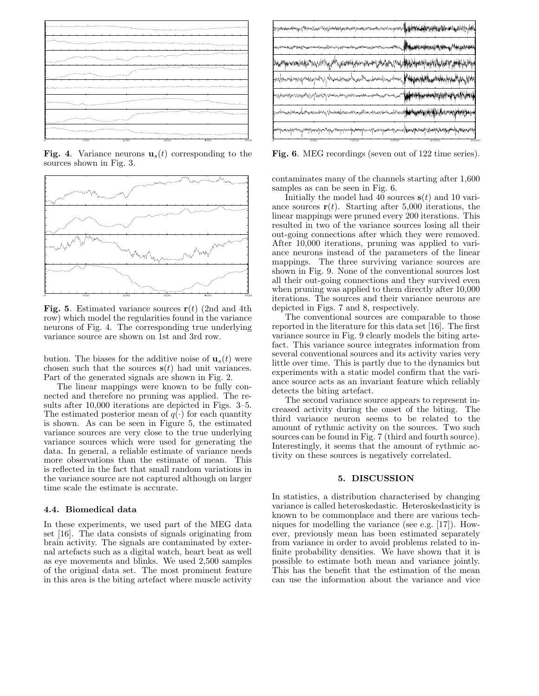

**Fig. 4.** Variance neurons  $\mathbf{u}_s(t)$  corresponding to the sources shown in Fig. 3.



**Fig. 5.** Estimated variance sources  $\mathbf{r}(t)$  (2nd and 4th row) which model the regularities found in the variance neurons of Fig. 4. The corresponding true underlying variance source are shown on 1st and 3rd row.

bution. The biases for the additive noise of  $\mathbf{u}_s(t)$  were chosen such that the sources  $s(t)$  had unit variances. Part of the generated signals are shown in Fig. 2.

The linear mappings were known to be fully connected and therefore no pruning was applied. The results after 10,000 iterations are depicted in Figs. 3–5. The estimated posterior mean of  $q(\cdot)$  for each quantity is shown. As can be seen in Figure 5, the estimated variance sources are very close to the true underlying variance sources which were used for generating the data. In general, a reliable estimate of variance needs more observations than the estimate of mean. This is reflected in the fact that small random variations in the variance source are not captured although on larger time scale the estimate is accurate.

#### 4.4. Biomedical data

In these experiments, we used part of the MEG data set [16]. The data consists of signals originating from brain activity. The signals are contaminated by external artefacts such as a digital watch, heart beat as well as eye movements and blinks. We used 2,500 samples of the original data set. The most prominent feature in this area is the biting artefact where muscle activity

Fig. 6. MEG recordings (seven out of 122 time series).

contaminates many of the channels starting after 1,600 samples as can be seen in Fig. 6.

Initially the model had 40 sources  $s(t)$  and 10 variance sources  $r(t)$ . Starting after 5,000 iterations, the linear mappings were pruned every 200 iterations. This resulted in two of the variance sources losing all their out-going connections after which they were removed. After 10,000 iterations, pruning was applied to variance neurons instead of the parameters of the linear mappings. The three surviving variance sources are shown in Fig. 9. None of the conventional sources lost all their out-going connections and they survived even when pruning was applied to them directly after 10,000 iterations. The sources and their variance neurons are depicted in Figs. 7 and 8, respectively.

The conventional sources are comparable to those reported in the literature for this data set [16]. The first variance source in Fig. 9 clearly models the biting artefact. This variance source integrates information from several conventional sources and its activity varies very little over time. This is partly due to the dynamics but experiments with a static model confirm that the variance source acts as an invariant feature which reliably detects the biting artefact.

The second variance source appears to represent increased activity during the onset of the biting. The third variance neuron seems to be related to the amount of rythmic activity on the sources. Two such sources can be found in Fig. 7 (third and fourth source). Interestingly, it seems that the amount of rythmic activity on these sources is negatively correlated.

# 5. DISCUSSION

In statistics, a distribution characterised by changing variance is called heteroskedastic. Heteroskedasticity is known to be commonplace and there are various techniques for modelling the variance (see e.g. [17]). However, previously mean has been estimated separately from variance in order to avoid problems related to infinite probability densities. We have shown that it is possible to estimate both mean and variance jointly. This has the benefit that the estimation of the mean can use the information about the variance and vice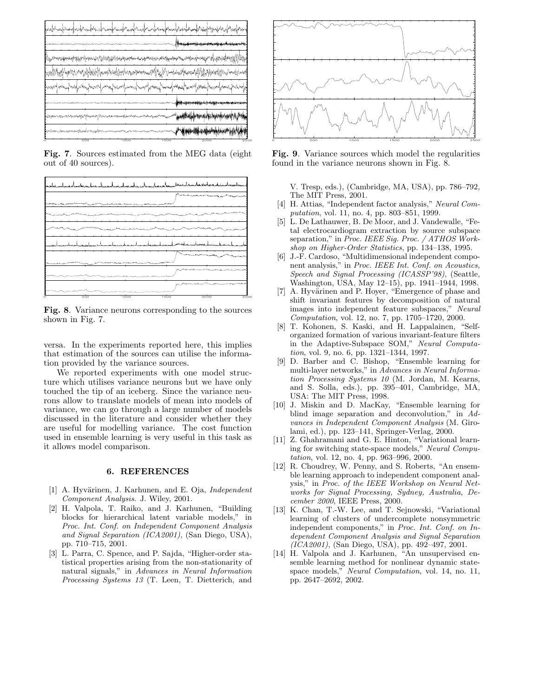

Fig. 7. Sources estimated from the MEG data (eight out of 40 sources).



Fig. 8. Variance neurons corresponding to the sources shown in Fig. 7.

versa. In the experiments reported here, this implies that estimation of the sources can utilise the information provided by the variance sources.

We reported experiments with one model structure which utilises variance neurons but we have only touched the tip of an iceberg. Since the variance neurons allow to translate models of mean into models of variance, we can go through a large number of models discussed in the literature and consider whether they are useful for modelling variance. The cost function used in ensemble learning is very useful in this task as it allows model comparison.

### 6. REFERENCES

- [1] A. Hyvärinen, J. Karhunen, and E. Oja, *Independent* Component Analysis. J. Wiley, 2001.
- [2] H. Valpola, T. Raiko, and J. Karhunen, "Building blocks for hierarchical latent variable models," in Proc. Int. Conf. on Independent Component Analysis and Signal Separation (ICA2001), (San Diego, USA), pp. 710–715, 2001.
- [3] L. Parra, C. Spence, and P. Sajda, "Higher-order statistical properties arising from the non-stationarity of natural signals," in Advances in Neural Information Processing Systems 13 (T. Leen, T. Dietterich, and



Fig. 9. Variance sources which model the regularities found in the variance neurons shown in Fig. 8.

V. Tresp, eds.), (Cambridge, MA, USA), pp. 786–792, The MIT Press, 2001.

- [4] H. Attias, "Independent factor analysis," Neural Computation, vol. 11, no. 4, pp. 803–851, 1999.
- L. De Lathauwer, B. De Moor, and J. Vandewalle, "Fetal electrocardiogram extraction by source subspace separation," in Proc. IEEE Sig. Proc. / ATHOS Workshop on Higher-Order Statistics, pp. 134–138, 1995.
- [6] J.-F. Cardoso, "Multidimensional independent component analysis," in Proc. IEEE Int. Conf. on Acoustics, Speech and Signal Processing (ICASSP'98), (Seattle, Washington, USA, May 12–15), pp. 1941–1944, 1998.
- [7] A. Hyvärinen and P. Hoyer, "Emergence of phase and shift invariant features by decomposition of natural images into independent feature subspaces," Neural Computation, vol. 12, no. 7, pp. 1705–1720, 2000.
- [8] T. Kohonen, S. Kaski, and H. Lappalainen, "Selforganized formation of various invariant-feature filters in the Adaptive-Subspace SOM," Neural Computation, vol. 9, no. 6, pp. 1321–1344, 1997.
- [9] D. Barber and C. Bishop, "Ensemble learning for multi-layer networks," in Advances in Neural Information Processing Systems 10 (M. Jordan, M. Kearns, and S. Solla, eds.), pp. 395–401, Cambridge, MA, USA: The MIT Press, 1998.
- [10] J. Miskin and D. MacKay, "Ensemble learning for blind image separation and deconvolution," in Advances in Independent Component Analysis (M. Girolami, ed.), pp. 123–141, Springer-Verlag, 2000.
- [11] Z. Ghahramani and G. E. Hinton, "Variational learning for switching state-space models," Neural Computation, vol. 12, no. 4, pp. 963–996, 2000.
- [12] R. Choudrey, W. Penny, and S. Roberts, "An ensemble learning approach to independent component analysis," in Proc. of the IEEE Workshop on Neural Networks for Signal Processing, Sydney, Australia, December 2000, IEEE Press, 2000.
- [13] K. Chan, T.-W. Lee, and T. Sejnowski, "Variational learning of clusters of undercomplete nonsymmetric independent components," in Proc. Int. Conf. on Independent Component Analysis and Signal Separation (ICA2001), (San Diego, USA), pp. 492–497, 2001.
- [14] H. Valpola and J. Karhunen, "An unsupervised ensemble learning method for nonlinear dynamic statespace models," Neural Computation, vol. 14, no. 11, pp. 2647–2692, 2002.